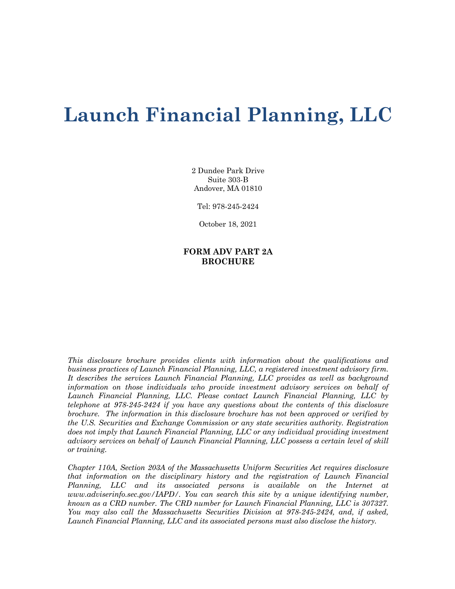# **Launch Financial Planning, LLC**

2 Dundee Park Drive Suite 303-B Andover, MA 01810

Tel: 978-245-2424

October 18, 2021

## **FORM ADV PART 2A BROCHURE**

*This disclosure brochure provides clients with information about the qualifications and business practices of Launch Financial Planning, LLC, a registered investment advisory firm. It describes the services Launch Financial Planning, LLC provides as well as background information on those individuals who provide investment advisory services on behalf of Launch Financial Planning, LLC. Please contact Launch Financial Planning, LLC by telephone at 978-245-2424 if you have any questions about the contents of this disclosure brochure. The information in this disclosure brochure has not been approved or verified by the U.S. Securities and Exchange Commission or any state securities authority. Registration does not imply that Launch Financial Planning, LLC or any individual providing investment advisory services on behalf of Launch Financial Planning, LLC possess a certain level of skill or training.*

*Chapter 110A, Section 203A of the Massachusetts Uniform Securities Act requires disclosure that information on the disciplinary history and the registration of Launch Financial Planning, LLC and its associated persons is available on the Internet at www.adviserinfo.sec.gov/IAPD/. You can search this site by a unique identifying number, known as a CRD number. The CRD number for Launch Financial Planning, LLC is 307327. You may also call the Massachusetts Securities Division at 978-245-2424, and, if asked, Launch Financial Planning, LLC and its associated persons must also disclose the history.*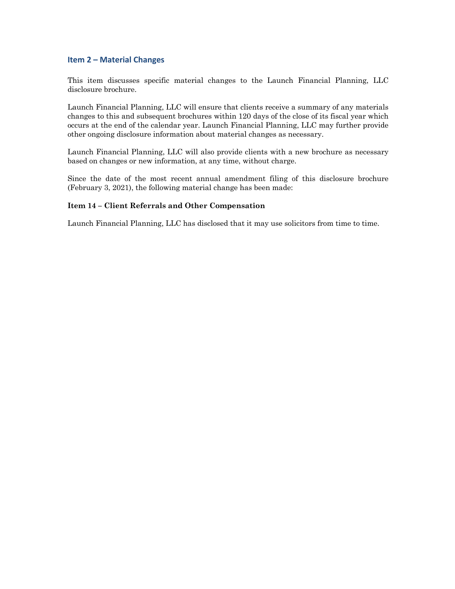## **Item 2 – Material Changes**

This item discusses specific material changes to the Launch Financial Planning, LLC disclosure brochure.

Launch Financial Planning, LLC will ensure that clients receive a summary of any materials changes to this and subsequent brochures within 120 days of the close of its fiscal year which occurs at the end of the calendar year. Launch Financial Planning, LLC may further provide other ongoing disclosure information about material changes as necessary.

Launch Financial Planning, LLC will also provide clients with a new brochure as necessary based on changes or new information, at any time, without charge.

Since the date of the most recent annual amendment filing of this disclosure brochure (February 3, 2021), the following material change has been made:

## **Item 14 – Client Referrals and Other Compensation**

Launch Financial Planning, LLC has disclosed that it may use solicitors from time to time.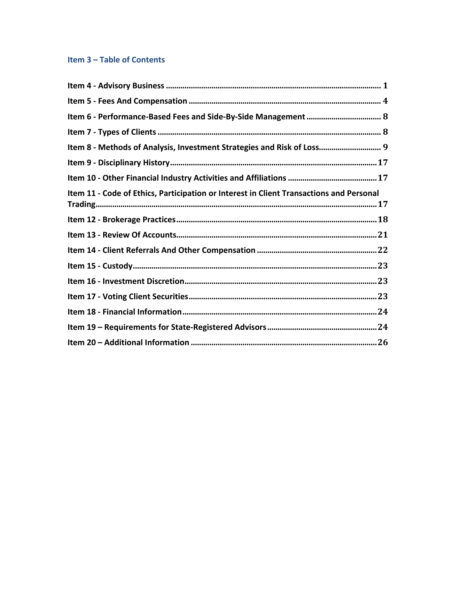## Item 3 - Table of Contents

| Item 8 - Methods of Analysis, Investment Strategies and Risk of Loss 9                  |
|-----------------------------------------------------------------------------------------|
|                                                                                         |
|                                                                                         |
| Item 11 - Code of Ethics, Participation or Interest in Client Transactions and Personal |
|                                                                                         |
|                                                                                         |
|                                                                                         |
|                                                                                         |
|                                                                                         |
|                                                                                         |
|                                                                                         |
|                                                                                         |
|                                                                                         |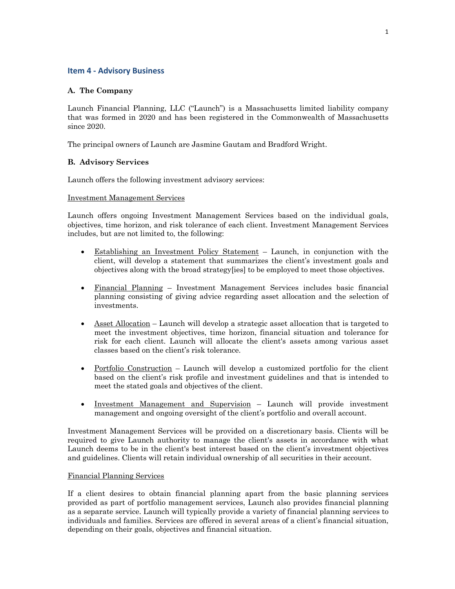## **Item 4 - Advisory Business**

## **A. The Company**

Launch Financial Planning, LLC ("Launch") is a Massachusetts limited liability company that was formed in 2020 and has been registered in the Commonwealth of Massachusetts since 2020.

The principal owners of Launch are Jasmine Gautam and Bradford Wright.

## **B. Advisory Services**

Launch offers the following investment advisory services:

## Investment Management Services

Launch offers ongoing Investment Management Services based on the individual goals, objectives, time horizon, and risk tolerance of each client. Investment Management Services includes, but are not limited to, the following:

- Establishing an Investment Policy Statement Launch, in conjunction with the client, will develop a statement that summarizes the client's investment goals and objectives along with the broad strategy[ies] to be employed to meet those objectives.
- Financial Planning Investment Management Services includes basic financial planning consisting of giving advice regarding asset allocation and the selection of investments.
- Asset Allocation Launch will develop a strategic asset allocation that is targeted to meet the investment objectives, time horizon, financial situation and tolerance for risk for each client. Launch will allocate the client's assets among various asset classes based on the client's risk tolerance.
- Portfolio Construction Launch will develop a customized portfolio for the client based on the client's risk profile and investment guidelines and that is intended to meet the stated goals and objectives of the client.
- Investment Management and Supervision Launch will provide investment management and ongoing oversight of the client's portfolio and overall account.

Investment Management Services will be provided on a discretionary basis. Clients will be required to give Launch authority to manage the client's assets in accordance with what Launch deems to be in the client's best interest based on the client's investment objectives and guidelines. Clients will retain individual ownership of all securities in their account.

## Financial Planning Services

If a client desires to obtain financial planning apart from the basic planning services provided as part of portfolio management services, Launch also provides financial planning as a separate service. Launch will typically provide a variety of financial planning services to individuals and families. Services are offered in several areas of a client's financial situation, depending on their goals, objectives and financial situation.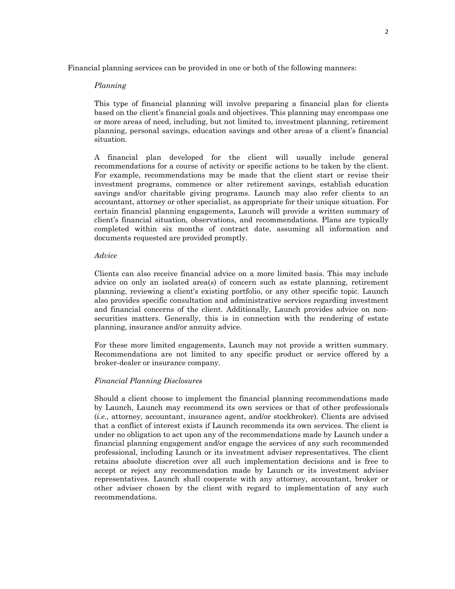Financial planning services can be provided in one or both of the following manners:

## *Planning*

This type of financial planning will involve preparing a financial plan for clients based on the client's financial goals and objectives. This planning may encompass one or more areas of need, including, but not limited to, investment planning, retirement planning, personal savings, education savings and other areas of a client's financial situation.

A financial plan developed for the client will usually include general recommendations for a course of activity or specific actions to be taken by the client. For example, recommendations may be made that the client start or revise their investment programs, commence or alter retirement savings, establish education savings and/or charitable giving programs. Launch may also refer clients to an accountant, attorney or other specialist, as appropriate for their unique situation. For certain financial planning engagements, Launch will provide a written summary of client's financial situation, observations, and recommendations. Plans are typically completed within six months of contract date, assuming all information and documents requested are provided promptly.

## *Advice*

Clients can also receive financial advice on a more limited basis. This may include advice on only an isolated area(s) of concern such as estate planning, retirement planning, reviewing a client's existing portfolio, or any other specific topic. Launch also provides specific consultation and administrative services regarding investment and financial concerns of the client. Additionally, Launch provides advice on nonsecurities matters. Generally, this is in connection with the rendering of estate planning, insurance and/or annuity advice.

For these more limited engagements, Launch may not provide a written summary. Recommendations are not limited to any specific product or service offered by a broker-dealer or insurance company.

## *Financial Planning Disclosures*

Should a client choose to implement the financial planning recommendations made by Launch, Launch may recommend its own services or that of other professionals (*i.e*., attorney, accountant, insurance agent, and/or stockbroker). Clients are advised that a conflict of interest exists if Launch recommends its own services. The client is under no obligation to act upon any of the recommendations made by Launch under a financial planning engagement and/or engage the services of any such recommended professional, including Launch or its investment adviser representatives. The client retains absolute discretion over all such implementation decisions and is free to accept or reject any recommendation made by Launch or its investment adviser representatives. Launch shall cooperate with any attorney, accountant, broker or other adviser chosen by the client with regard to implementation of any such recommendations.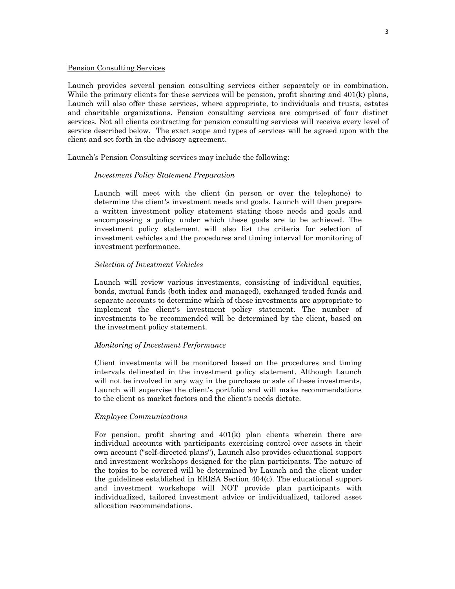#### Pension Consulting Services

Launch provides several pension consulting services either separately or in combination. While the primary clients for these services will be pension, profit sharing and 401(k) plans, Launch will also offer these services, where appropriate, to individuals and trusts, estates and charitable organizations. Pension consulting services are comprised of four distinct services. Not all clients contracting for pension consulting services will receive every level of service described below. The exact scope and types of services will be agreed upon with the client and set forth in the advisory agreement.

Launch's Pension Consulting services may include the following:

## *Investment Policy Statement Preparation*

Launch will meet with the client (in person or over the telephone) to determine the client's investment needs and goals. Launch will then prepare a written investment policy statement stating those needs and goals and encompassing a policy under which these goals are to be achieved. The investment policy statement will also list the criteria for selection of investment vehicles and the procedures and timing interval for monitoring of investment performance.

#### *Selection of Investment Vehicles*

Launch will review various investments, consisting of individual equities, bonds, mutual funds (both index and managed), exchanged traded funds and separate accounts to determine which of these investments are appropriate to implement the client's investment policy statement. The number of investments to be recommended will be determined by the client, based on the investment policy statement.

#### *Monitoring of Investment Performance*

Client investments will be monitored based on the procedures and timing intervals delineated in the investment policy statement. Although Launch will not be involved in any way in the purchase or sale of these investments, Launch will supervise the client's portfolio and will make recommendations to the client as market factors and the client's needs dictate.

## *Employee Communications*

For pension, profit sharing and 401(k) plan clients wherein there are individual accounts with participants exercising control over assets in their own account (''self-directed plans''), Launch also provides educational support and investment workshops designed for the plan participants. The nature of the topics to be covered will be determined by Launch and the client under the guidelines established in ERISA Section 404(c). The educational support and investment workshops will NOT provide plan participants with individualized, tailored investment advice or individualized, tailored asset allocation recommendations.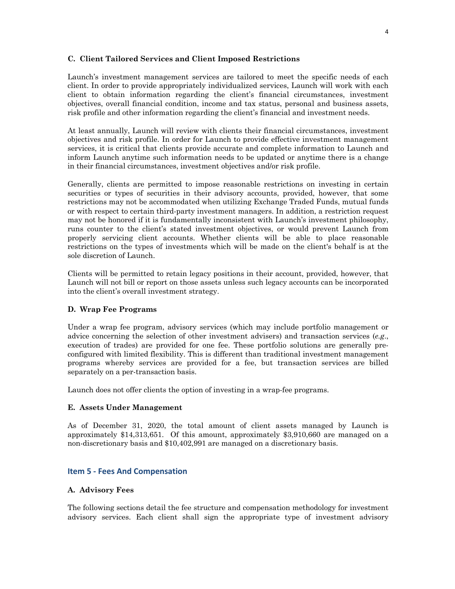## **C. Client Tailored Services and Client Imposed Restrictions**

Launch's investment management services are tailored to meet the specific needs of each client. In order to provide appropriately individualized services, Launch will work with each client to obtain information regarding the client's financial circumstances, investment objectives, overall financial condition, income and tax status, personal and business assets, risk profile and other information regarding the client's financial and investment needs.

At least annually, Launch will review with clients their financial circumstances, investment objectives and risk profile. In order for Launch to provide effective investment management services, it is critical that clients provide accurate and complete information to Launch and inform Launch anytime such information needs to be updated or anytime there is a change in their financial circumstances, investment objectives and/or risk profile.

Generally, clients are permitted to impose reasonable restrictions on investing in certain securities or types of securities in their advisory accounts, provided, however, that some restrictions may not be accommodated when utilizing Exchange Traded Funds, mutual funds or with respect to certain third-party investment managers. In addition, a restriction request may not be honored if it is fundamentally inconsistent with Launch's investment philosophy, runs counter to the client's stated investment objectives, or would prevent Launch from properly servicing client accounts. Whether clients will be able to place reasonable restrictions on the types of investments which will be made on the client's behalf is at the sole discretion of Launch.

Clients will be permitted to retain legacy positions in their account, provided, however, that Launch will not bill or report on those assets unless such legacy accounts can be incorporated into the client's overall investment strategy.

## **D. Wrap Fee Programs**

Under a wrap fee program, advisory services (which may include portfolio management or advice concerning the selection of other investment advisers) and transaction services (*e.g*., execution of trades) are provided for one fee. These portfolio solutions are generally preconfigured with limited flexibility. This is different than traditional investment management programs whereby services are provided for a fee, but transaction services are billed separately on a per-transaction basis.

Launch does not offer clients the option of investing in a wrap-fee programs.

## **E. Assets Under Management**

As of December 31, 2020, the total amount of client assets managed by Launch is approximately \$14,313,651. Of this amount, approximately \$3,910,660 are managed on a non-discretionary basis and \$10,402,991 are managed on a discretionary basis.

## **Item 5 - Fees And Compensation**

## **A. Advisory Fees**

The following sections detail the fee structure and compensation methodology for investment advisory services. Each client shall sign the appropriate type of investment advisory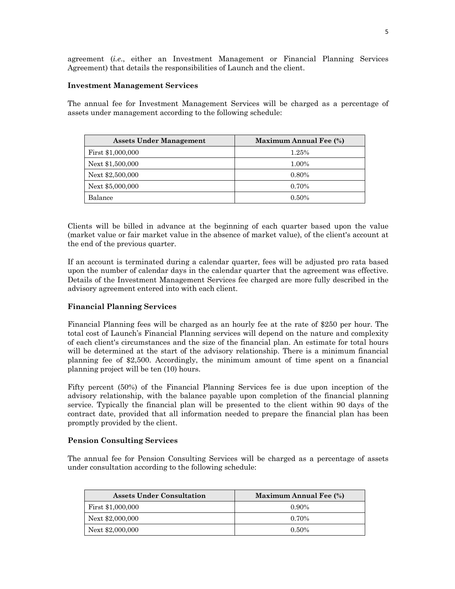agreement (*i.e*., either an Investment Management or Financial Planning Services Agreement) that details the responsibilities of Launch and the client.

## **Investment Management Services**

The annual fee for Investment Management Services will be charged as a percentage of assets under management according to the following schedule:

| <b>Assets Under Management</b> | <b>Maximum Annual Fee (%)</b> |
|--------------------------------|-------------------------------|
| First \$1,000,000              | 1.25%                         |
| Next \$1,500,000               | 1.00%                         |
| Next \$2,500,000               | 0.80%                         |
| Next \$5,000,000               | 0.70%                         |
| Balance                        | $0.50\%$                      |

Clients will be billed in advance at the beginning of each quarter based upon the value (market value or fair market value in the absence of market value), of the client's account at the end of the previous quarter.

If an account is terminated during a calendar quarter, fees will be adjusted pro rata based upon the number of calendar days in the calendar quarter that the agreement was effective. Details of the Investment Management Services fee charged are more fully described in the advisory agreement entered into with each client.

## **Financial Planning Services**

Financial Planning fees will be charged as an hourly fee at the rate of \$250 per hour. The total cost of Launch's Financial Planning services will depend on the nature and complexity of each client's circumstances and the size of the financial plan. An estimate for total hours will be determined at the start of the advisory relationship. There is a minimum financial planning fee of \$2,500. Accordingly, the minimum amount of time spent on a financial planning project will be ten (10) hours.

Fifty percent (50%) of the Financial Planning Services fee is due upon inception of the advisory relationship, with the balance payable upon completion of the financial planning service. Typically the financial plan will be presented to the client within 90 days of the contract date, provided that all information needed to prepare the financial plan has been promptly provided by the client.

## **Pension Consulting Services**

The annual fee for Pension Consulting Services will be charged as a percentage of assets under consultation according to the following schedule:

| <b>Assets Under Consultation</b> | <b>Maximum Annual Fee (%)</b> |
|----------------------------------|-------------------------------|
| First \$1,000,000                | $0.90\%$                      |
| Next \$2,000,000                 | $0.70\%$                      |
| Next \$2,000,000                 | $0.50\%$                      |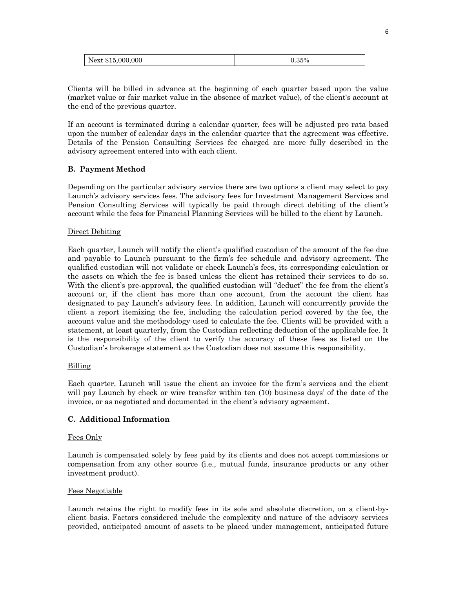| Next \$15,000,000 | 35% |
|-------------------|-----|
|                   |     |

Clients will be billed in advance at the beginning of each quarter based upon the value (market value or fair market value in the absence of market value), of the client's account at the end of the previous quarter.

If an account is terminated during a calendar quarter, fees will be adjusted pro rata based upon the number of calendar days in the calendar quarter that the agreement was effective. Details of the Pension Consulting Services fee charged are more fully described in the advisory agreement entered into with each client.

## **B. Payment Method**

Depending on the particular advisory service there are two options a client may select to pay Launch's advisory services fees. The advisory fees for Investment Management Services and Pension Consulting Services will typically be paid through direct debiting of the client's account while the fees for Financial Planning Services will be billed to the client by Launch.

## Direct Debiting

Each quarter, Launch will notify the client's qualified custodian of the amount of the fee due and payable to Launch pursuant to the firm's fee schedule and advisory agreement. The qualified custodian will not validate or check Launch's fees, its corresponding calculation or the assets on which the fee is based unless the client has retained their services to do so. With the client's pre-approval, the qualified custodian will "deduct" the fee from the client's account or, if the client has more than one account, from the account the client has designated to pay Launch's advisory fees. In addition, Launch will concurrently provide the client a report itemizing the fee, including the calculation period covered by the fee, the account value and the methodology used to calculate the fee. Clients will be provided with a statement, at least quarterly, from the Custodian reflecting deduction of the applicable fee. It is the responsibility of the client to verify the accuracy of these fees as listed on the Custodian's brokerage statement as the Custodian does not assume this responsibility.

## Billing

Each quarter, Launch will issue the client an invoice for the firm's services and the client will pay Launch by check or wire transfer within ten (10) business days' of the date of the invoice, or as negotiated and documented in the client's advisory agreement.

## **C. Additional Information**

## Fees Only

Launch is compensated solely by fees paid by its clients and does not accept commissions or compensation from any other source (i.e., mutual funds, insurance products or any other investment product).

## Fees Negotiable

Launch retains the right to modify fees in its sole and absolute discretion, on a client-byclient basis. Factors considered include the complexity and nature of the advisory services provided, anticipated amount of assets to be placed under management, anticipated future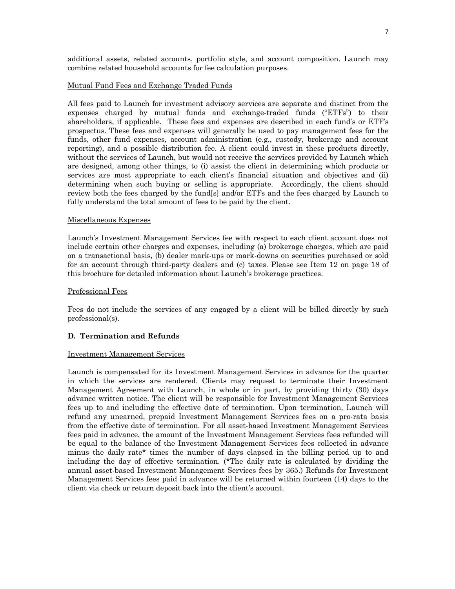additional assets, related accounts, portfolio style, and account composition. Launch may combine related household accounts for fee calculation purposes.

#### Mutual Fund Fees and Exchange Traded Funds

All fees paid to Launch for investment advisory services are separate and distinct from the expenses charged by mutual funds and exchange-traded funds ("ETFs") to their shareholders, if applicable. These fees and expenses are described in each fund's or ETF's prospectus. These fees and expenses will generally be used to pay management fees for the funds, other fund expenses, account administration (e.g., custody, brokerage and account reporting), and a possible distribution fee. A client could invest in these products directly, without the services of Launch, but would not receive the services provided by Launch which are designed, among other things, to (i) assist the client in determining which products or services are most appropriate to each client's financial situation and objectives and (ii) determining when such buying or selling is appropriate. Accordingly, the client should review both the fees charged by the fund[s] and/or ETFs and the fees charged by Launch to fully understand the total amount of fees to be paid by the client.

## Miscellaneous Expenses

Launch's Investment Management Services fee with respect to each client account does not include certain other charges and expenses, including (a) brokerage charges, which are paid on a transactional basis, (b) dealer mark-ups or mark-downs on securities purchased or sold for an account through third-party dealers and (c) taxes. Please see Item 12 on page 18 of this brochure for detailed information about Launch's brokerage practices.

#### Professional Fees

Fees do not include the services of any engaged by a client will be billed directly by such professional(s).

## **D. Termination and Refunds**

#### Investment Management Services

Launch is compensated for its Investment Management Services in advance for the quarter in which the services are rendered. Clients may request to terminate their Investment Management Agreement with Launch, in whole or in part, by providing thirty (30) days advance written notice. The client will be responsible for Investment Management Services fees up to and including the effective date of termination. Upon termination, Launch will refund any unearned, prepaid Investment Management Services fees on a pro-rata basis from the effective date of termination. For all asset-based Investment Management Services fees paid in advance, the amount of the Investment Management Services fees refunded will be equal to the balance of the Investment Management Services fees collected in advance minus the daily rate\* times the number of days elapsed in the billing period up to and including the day of effective termination. (\*The daily rate is calculated by dividing the annual asset-based Investment Management Services fees by 365.) Refunds for Investment Management Services fees paid in advance will be returned within fourteen (14) days to the client via check or return deposit back into the client's account.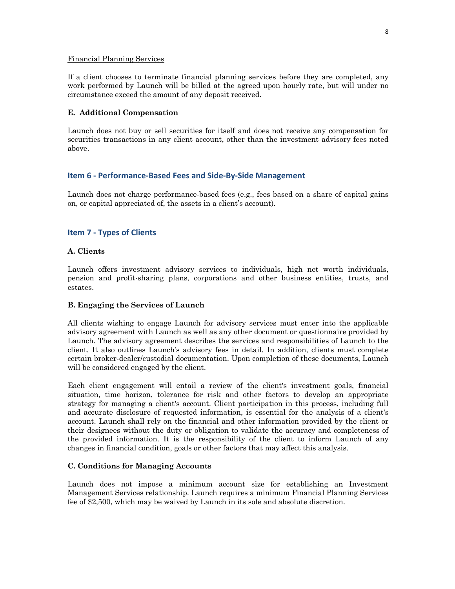#### Financial Planning Services

If a client chooses to terminate financial planning services before they are completed, any work performed by Launch will be billed at the agreed upon hourly rate, but will under no circumstance exceed the amount of any deposit received.

## **E. Additional Compensation**

Launch does not buy or sell securities for itself and does not receive any compensation for securities transactions in any client account, other than the investment advisory fees noted above.

## **Item 6 - Performance-Based Fees and Side-By-Side Management**

Launch does not charge performance-based fees (e.g., fees based on a share of capital gains on, or capital appreciated of, the assets in a client's account).

## **Item 7 - Types of Clients**

## **A. Clients**

Launch offers investment advisory services to individuals, high net worth individuals, pension and profit-sharing plans, corporations and other business entities, trusts, and estates.

## **B. Engaging the Services of Launch**

All clients wishing to engage Launch for advisory services must enter into the applicable advisory agreement with Launch as well as any other document or questionnaire provided by Launch. The advisory agreement describes the services and responsibilities of Launch to the client. It also outlines Launch's advisory fees in detail. In addition, clients must complete certain broker-dealer/custodial documentation. Upon completion of these documents, Launch will be considered engaged by the client.

Each client engagement will entail a review of the client's investment goals, financial situation, time horizon, tolerance for risk and other factors to develop an appropriate strategy for managing a client's account. Client participation in this process, including full and accurate disclosure of requested information, is essential for the analysis of a client's account. Launch shall rely on the financial and other information provided by the client or their designees without the duty or obligation to validate the accuracy and completeness of the provided information. It is the responsibility of the client to inform Launch of any changes in financial condition, goals or other factors that may affect this analysis.

## **C. Conditions for Managing Accounts**

Launch does not impose a minimum account size for establishing an Investment Management Services relationship. Launch requires a minimum Financial Planning Services fee of \$2,500, which may be waived by Launch in its sole and absolute discretion.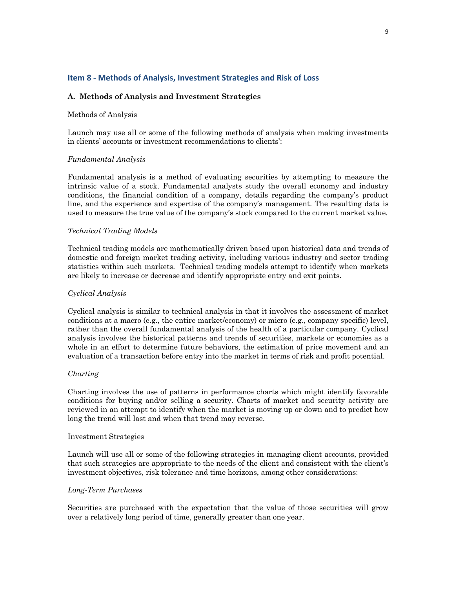## **Item 8 - Methods of Analysis, Investment Strategies and Risk of Loss**

## **A. Methods of Analysis and Investment Strategies**

## Methods of Analysis

Launch may use all or some of the following methods of analysis when making investments in clients' accounts or investment recommendations to clients':

## *Fundamental Analysis*

Fundamental analysis is a method of evaluating securities by attempting to measure the intrinsic value of a stock. Fundamental analysts study the overall economy and industry conditions, the financial condition of a company, details regarding the company's product line, and the experience and expertise of the company's management. The resulting data is used to measure the true value of the company's stock compared to the current market value.

## *Technical Trading Models*

Technical trading models are mathematically driven based upon historical data and trends of domestic and foreign market trading activity, including various industry and sector trading statistics within such markets. Technical trading models attempt to identify when markets are likely to increase or decrease and identify appropriate entry and exit points.

## *Cyclical Analysis*

Cyclical analysis is similar to technical analysis in that it involves the assessment of market conditions at a macro (e.g., the entire market/economy) or micro (e.g., company specific) level, rather than the overall fundamental analysis of the health of a particular company. Cyclical analysis involves the historical patterns and trends of securities, markets or economies as a whole in an effort to determine future behaviors, the estimation of price movement and an evaluation of a transaction before entry into the market in terms of risk and profit potential.

## *Charting*

Charting involves the use of patterns in performance charts which might identify favorable conditions for buying and/or selling a security. Charts of market and security activity are reviewed in an attempt to identify when the market is moving up or down and to predict how long the trend will last and when that trend may reverse.

## Investment Strategies

Launch will use all or some of the following strategies in managing client accounts, provided that such strategies are appropriate to the needs of the client and consistent with the client's investment objectives, risk tolerance and time horizons, among other considerations:

## *Long-Term Purchases*

Securities are purchased with the expectation that the value of those securities will grow over a relatively long period of time, generally greater than one year.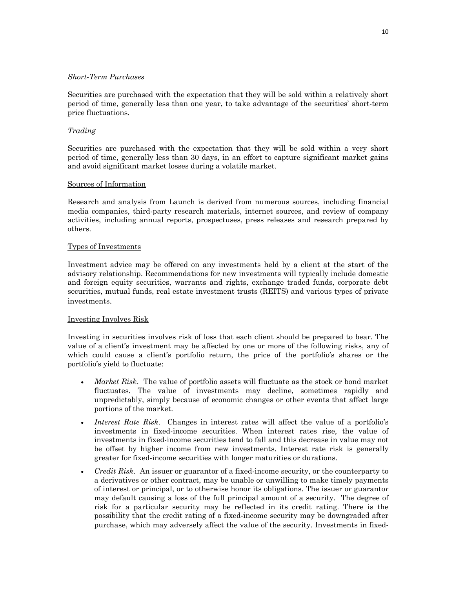## *Short-Term Purchases*

Securities are purchased with the expectation that they will be sold within a relatively short period of time, generally less than one year, to take advantage of the securities' short-term price fluctuations.

## *Trading*

Securities are purchased with the expectation that they will be sold within a very short period of time, generally less than 30 days, in an effort to capture significant market gains and avoid significant market losses during a volatile market.

## Sources of Information

Research and analysis from Launch is derived from numerous sources, including financial media companies, third-party research materials, internet sources, and review of company activities, including annual reports, prospectuses, press releases and research prepared by others.

## Types of Investments

Investment advice may be offered on any investments held by a client at the start of the advisory relationship. Recommendations for new investments will typically include domestic and foreign equity securities, warrants and rights, exchange traded funds, corporate debt securities, mutual funds, real estate investment trusts (REITS) and various types of private investments.

## Investing Involves Risk

Investing in securities involves risk of loss that each client should be prepared to bear. The value of a client's investment may be affected by one or more of the following risks, any of which could cause a client's portfolio return, the price of the portfolio's shares or the portfolio's yield to fluctuate:

- *Market Risk*. The value of portfolio assets will fluctuate as the stock or bond market fluctuates. The value of investments may decline, sometimes rapidly and unpredictably, simply because of economic changes or other events that affect large portions of the market.
- *Interest Rate Risk*. Changes in interest rates will affect the value of a portfolio's investments in fixed-income securities. When interest rates rise, the value of investments in fixed-income securities tend to fall and this decrease in value may not be offset by higher income from new investments. Interest rate risk is generally greater for fixed-income securities with longer maturities or durations.
- *Credit Risk*. An issuer or guarantor of a fixed-income security, or the counterparty to a derivatives or other contract, may be unable or unwilling to make timely payments of interest or principal, or to otherwise honor its obligations. The issuer or guarantor may default causing a loss of the full principal amount of a security. The degree of risk for a particular security may be reflected in its credit rating. There is the possibility that the credit rating of a fixed-income security may be downgraded after purchase, which may adversely affect the value of the security. Investments in fixed-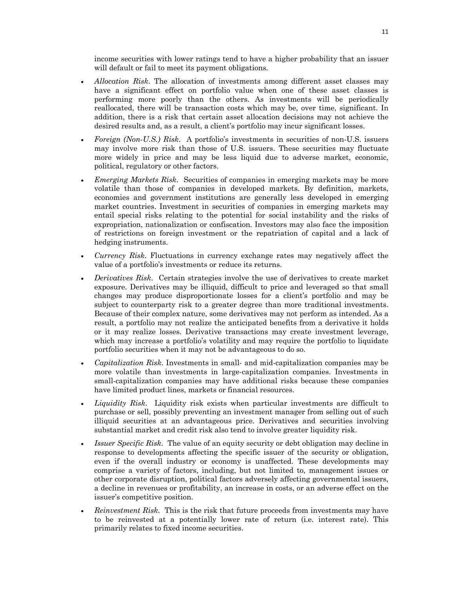income securities with lower ratings tend to have a higher probability that an issuer will default or fail to meet its payment obligations.

- *Allocation Risk*. The allocation of investments among different asset classes may have a significant effect on portfolio value when one of these asset classes is performing more poorly than the others. As investments will be periodically reallocated, there will be transaction costs which may be, over time, significant. In addition, there is a risk that certain asset allocation decisions may not achieve the desired results and, as a result, a client's portfolio may incur significant losses.
- *Foreign (Non-U.S.) Risk*. A portfolio's investments in securities of non-U.S. issuers may involve more risk than those of U.S. issuers. These securities may fluctuate more widely in price and may be less liquid due to adverse market, economic, political, regulatory or other factors.
- *Emerging Markets Risk*. Securities of companies in emerging markets may be more volatile than those of companies in developed markets. By definition, markets, economies and government institutions are generally less developed in emerging market countries. Investment in securities of companies in emerging markets may entail special risks relating to the potential for social instability and the risks of expropriation, nationalization or confiscation. Investors may also face the imposition of restrictions on foreign investment or the repatriation of capital and a lack of hedging instruments.
- *Currency Risk*. Fluctuations in currency exchange rates may negatively affect the value of a portfolio's investments or reduce its returns.
- *Derivatives Risk*. Certain strategies involve the use of derivatives to create market exposure. Derivatives may be illiquid, difficult to price and leveraged so that small changes may produce disproportionate losses for a client's portfolio and may be subject to counterparty risk to a greater degree than more traditional investments. Because of their complex nature, some derivatives may not perform as intended. As a result, a portfolio may not realize the anticipated benefits from a derivative it holds or it may realize losses. Derivative transactions may create investment leverage, which may increase a portfolio's volatility and may require the portfolio to liquidate portfolio securities when it may not be advantageous to do so.
- *Capitalization Risk*. Investments in small- and mid-capitalization companies may be more volatile than investments in large-capitalization companies. Investments in small-capitalization companies may have additional risks because these companies have limited product lines, markets or financial resources.
- *Liquidity Risk*. Liquidity risk exists when particular investments are difficult to purchase or sell, possibly preventing an investment manager from selling out of such illiquid securities at an advantageous price. Derivatives and securities involving substantial market and credit risk also tend to involve greater liquidity risk.
- *Issuer Specific Risk*. The value of an equity security or debt obligation may decline in response to developments affecting the specific issuer of the security or obligation, even if the overall industry or economy is unaffected. These developments may comprise a variety of factors, including, but not limited to, management issues or other corporate disruption, political factors adversely affecting governmental issuers, a decline in revenues or profitability, an increase in costs, or an adverse effect on the issuer's competitive position.
- *Reinvestment Risk*. This is the risk that future proceeds from investments may have to be reinvested at a potentially lower rate of return (i.e. interest rate). This primarily relates to fixed income securities.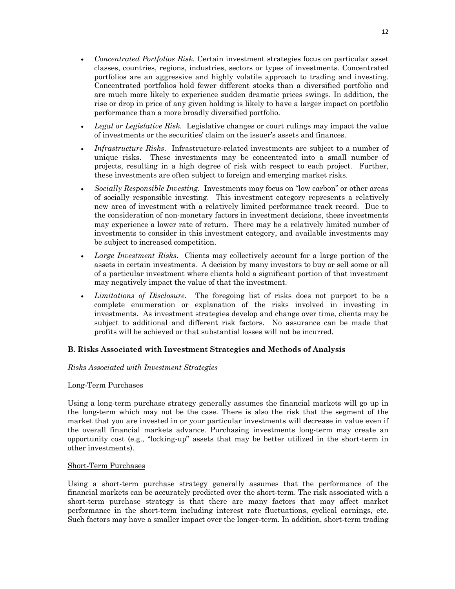- *Concentrated Portfolios Risk*. Certain investment strategies focus on particular asset classes, countries, regions, industries, sectors or types of investments. Concentrated portfolios are an aggressive and highly volatile approach to trading and investing. Concentrated portfolios hold fewer different stocks than a diversified portfolio and are much more likely to experience sudden dramatic prices swings. In addition, the rise or drop in price of any given holding is likely to have a larger impact on portfolio performance than a more broadly diversified portfolio.
- *Legal or Legislative Risk*. Legislative changes or court rulings may impact the value of investments or the securities' claim on the issuer's assets and finances.
- *Infrastructure Risks*. Infrastructure-related investments are subject to a number of unique risks. These investments may be concentrated into a small number of projects, resulting in a high degree of risk with respect to each project. Further, these investments are often subject to foreign and emerging market risks.
- *Socially Responsible Investing*. Investments may focus on "low carbon" or other areas of socially responsible investing. This investment category represents a relatively new area of investment with a relatively limited performance track record. Due to the consideration of non-monetary factors in investment decisions, these investments may experience a lower rate of return. There may be a relatively limited number of investments to consider in this investment category, and available investments may be subject to increased competition.
- *Large Investment Risks*. Clients may collectively account for a large portion of the assets in certain investments. A decision by many investors to buy or sell some or all of a particular investment where clients hold a significant portion of that investment may negatively impact the value of that the investment.
- *Limitations of Disclosure*. The foregoing list of risks does not purport to be a complete enumeration or explanation of the risks involved in investing in investments. As investment strategies develop and change over time, clients may be subject to additional and different risk factors. No assurance can be made that profits will be achieved or that substantial losses will not be incurred.

## **B. Risks Associated with Investment Strategies and Methods of Analysis**

## *Risks Associated with Investment Strategies*

## Long-Term Purchases

Using a long-term purchase strategy generally assumes the financial markets will go up in the long-term which may not be the case. There is also the risk that the segment of the market that you are invested in or your particular investments will decrease in value even if the overall financial markets advance. Purchasing investments long-term may create an opportunity cost (e.g., "locking-up" assets that may be better utilized in the short-term in other investments).

## Short-Term Purchases

Using a short-term purchase strategy generally assumes that the performance of the financial markets can be accurately predicted over the short-term. The risk associated with a short-term purchase strategy is that there are many factors that may affect market performance in the short-term including interest rate fluctuations, cyclical earnings, etc. Such factors may have a smaller impact over the longer-term. In addition, short-term trading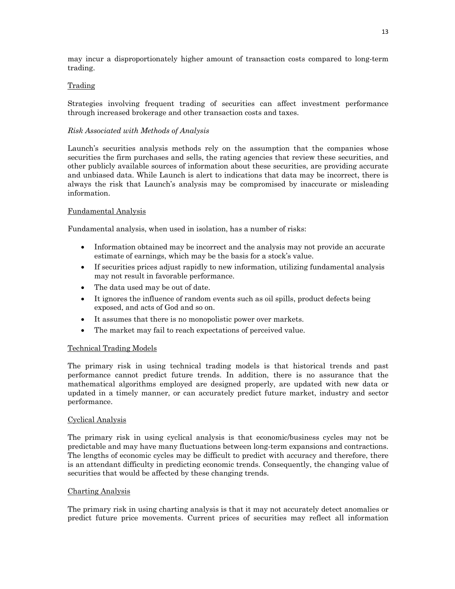may incur a disproportionately higher amount of transaction costs compared to long-term trading.

## Trading

Strategies involving frequent trading of securities can affect investment performance through increased brokerage and other transaction costs and taxes.

## *Risk Associated with Methods of Analysis*

Launch's securities analysis methods rely on the assumption that the companies whose securities the firm purchases and sells, the rating agencies that review these securities, and other publicly available sources of information about these securities, are providing accurate and unbiased data. While Launch is alert to indications that data may be incorrect, there is always the risk that Launch's analysis may be compromised by inaccurate or misleading information.

## Fundamental Analysis

Fundamental analysis, when used in isolation, has a number of risks:

- Information obtained may be incorrect and the analysis may not provide an accurate estimate of earnings, which may be the basis for a stock's value.
- If securities prices adjust rapidly to new information, utilizing fundamental analysis may not result in favorable performance.
- The data used may be out of date.
- It ignores the influence of random events such as oil spills, product defects being exposed, and acts of God and so on.
- It assumes that there is no monopolistic power over markets.
- The market may fail to reach expectations of perceived value.

## Technical Trading Models

The primary risk in using technical trading models is that historical trends and past performance cannot predict future trends. In addition, there is no assurance that the mathematical algorithms employed are designed properly, are updated with new data or updated in a timely manner, or can accurately predict future market, industry and sector performance.

## Cyclical Analysis

The primary risk in using cyclical analysis is that economic/business cycles may not be predictable and may have many fluctuations between long-term expansions and contractions. The lengths of economic cycles may be difficult to predict with accuracy and therefore, there is an attendant difficulty in predicting economic trends. Consequently, the changing value of securities that would be affected by these changing trends.

## Charting Analysis

The primary risk in using charting analysis is that it may not accurately detect anomalies or predict future price movements. Current prices of securities may reflect all information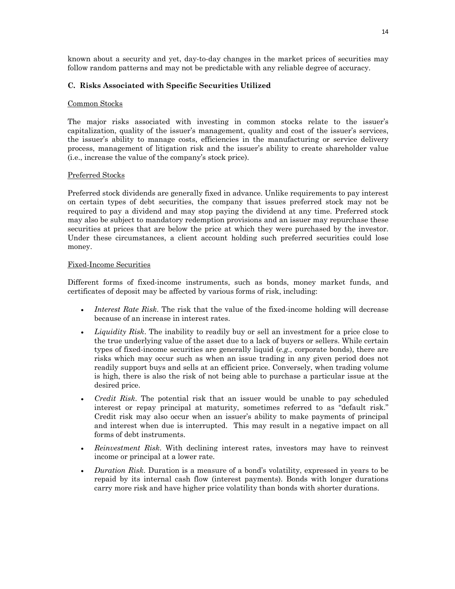known about a security and yet, day-to-day changes in the market prices of securities may follow random patterns and may not be predictable with any reliable degree of accuracy.

## **C. Risks Associated with Specific Securities Utilized**

## Common Stocks

The major risks associated with investing in common stocks relate to the issuer's capitalization, quality of the issuer's management, quality and cost of the issuer's services, the issuer's ability to manage costs, efficiencies in the manufacturing or service delivery process, management of litigation risk and the issuer's ability to create shareholder value (i.e., increase the value of the company's stock price).

## Preferred Stocks

Preferred stock dividends are generally fixed in advance. Unlike requirements to pay interest on certain types of debt securities, the company that issues preferred stock may not be required to pay a dividend and may stop paying the dividend at any time. Preferred stock may also be subject to mandatory redemption provisions and an issuer may repurchase these securities at prices that are below the price at which they were purchased by the investor. Under these circumstances, a client account holding such preferred securities could lose money.

## Fixed-Income Securities

Different forms of fixed-income instruments, such as bonds, money market funds, and certificates of deposit may be affected by various forms of risk, including:

- *Interest Rate Risk*. The risk that the value of the fixed-income holding will decrease because of an increase in interest rates.
- *Liquidity Risk*. The inability to readily buy or sell an investment for a price close to the true underlying value of the asset due to a lack of buyers or sellers. While certain types of fixed-income securities are generally liquid (*e.g*., corporate bonds), there are risks which may occur such as when an issue trading in any given period does not readily support buys and sells at an efficient price. Conversely, when trading volume is high, there is also the risk of not being able to purchase a particular issue at the desired price.
- *Credit Risk*. The potential risk that an issuer would be unable to pay scheduled interest or repay principal at maturity, sometimes referred to as "default risk." Credit risk may also occur when an issuer's ability to make payments of principal and interest when due is interrupted. This may result in a negative impact on all forms of debt instruments.
- *Reinvestment Risk*. With declining interest rates, investors may have to reinvest income or principal at a lower rate.
- *Duration Risk*. Duration is a measure of a bond's volatility, expressed in years to be repaid by its internal cash flow (interest payments). Bonds with longer durations carry more risk and have higher price volatility than bonds with shorter durations.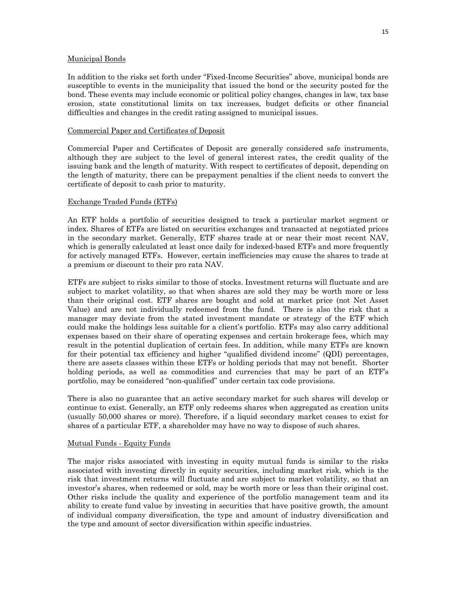#### Municipal Bonds

In addition to the risks set forth under "Fixed-Income Securities" above, municipal bonds are susceptible to events in the municipality that issued the bond or the security posted for the bond. These events may include economic or political policy changes, changes in law, tax base erosion, state constitutional limits on tax increases, budget deficits or other financial difficulties and changes in the credit rating assigned to municipal issues.

#### Commercial Paper and Certificates of Deposit

Commercial Paper and Certificates of Deposit are generally considered safe instruments, although they are subject to the level of general interest rates, the credit quality of the issuing bank and the length of maturity. With respect to certificates of deposit, depending on the length of maturity, there can be prepayment penalties if the client needs to convert the certificate of deposit to cash prior to maturity.

#### Exchange Traded Funds (ETFs)

An ETF holds a portfolio of securities designed to track a particular market segment or index. Shares of ETFs are listed on securities exchanges and transacted at negotiated prices in the secondary market. Generally, ETF shares trade at or near their most recent NAV, which is generally calculated at least once daily for indexed-based ETFs and more frequently for actively managed ETFs. However, certain inefficiencies may cause the shares to trade at a premium or discount to their pro rata NAV.

ETFs are subject to risks similar to those of stocks. Investment returns will fluctuate and are subject to market volatility, so that when shares are sold they may be worth more or less than their original cost. ETF shares are bought and sold at market price (not Net Asset Value) and are not individually redeemed from the fund. There is also the risk that a manager may deviate from the stated investment mandate or strategy of the ETF which could make the holdings less suitable for a client's portfolio. ETFs may also carry additional expenses based on their share of operating expenses and certain brokerage fees, which may result in the potential duplication of certain fees. In addition, while many ETFs are known for their potential tax efficiency and higher "qualified dividend income" (QDI) percentages, there are assets classes within these ETFs or holding periods that may not benefit. Shorter holding periods, as well as commodities and currencies that may be part of an ETF's portfolio, may be considered "non-qualified" under certain tax code provisions.

There is also no guarantee that an active secondary market for such shares will develop or continue to exist. Generally, an ETF only redeems shares when aggregated as creation units (usually 50,000 shares or more). Therefore, if a liquid secondary market ceases to exist for shares of a particular ETF, a shareholder may have no way to dispose of such shares.

## Mutual Funds - Equity Funds

The major risks associated with investing in equity mutual funds is similar to the risks associated with investing directly in equity securities, including market risk, which is the risk that investment returns will fluctuate and are subject to market volatility, so that an investor's shares, when redeemed or sold, may be worth more or less than their original cost. Other risks include the quality and experience of the portfolio management team and its ability to create fund value by investing in securities that have positive growth, the amount of individual company diversification, the type and amount of industry diversification and the type and amount of sector diversification within specific industries.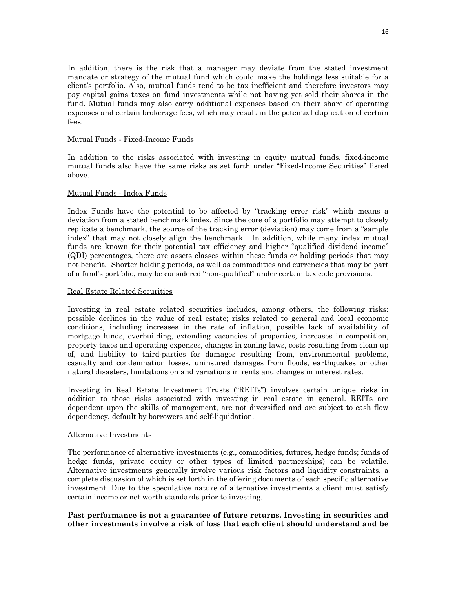In addition, there is the risk that a manager may deviate from the stated investment mandate or strategy of the mutual fund which could make the holdings less suitable for a client's portfolio. Also, mutual funds tend to be tax inefficient and therefore investors may pay capital gains taxes on fund investments while not having yet sold their shares in the fund. Mutual funds may also carry additional expenses based on their share of operating expenses and certain brokerage fees, which may result in the potential duplication of certain fees.

## Mutual Funds - Fixed-Income Funds

In addition to the risks associated with investing in equity mutual funds, fixed-income mutual funds also have the same risks as set forth under "Fixed-Income Securities" listed above.

## Mutual Funds - Index Funds

Index Funds have the potential to be affected by "tracking error risk" which means a deviation from a stated benchmark index. Since the core of a portfolio may attempt to closely replicate a benchmark, the source of the tracking error (deviation) may come from a "sample index" that may not closely align the benchmark. In addition, while many index mutual funds are known for their potential tax efficiency and higher "qualified dividend income" (QDI) percentages, there are assets classes within these funds or holding periods that may not benefit. Shorter holding periods, as well as commodities and currencies that may be part of a fund's portfolio, may be considered "non-qualified" under certain tax code provisions.

## Real Estate Related Securities

Investing in real estate related securities includes, among others, the following risks: possible declines in the value of real estate; risks related to general and local economic conditions, including increases in the rate of inflation, possible lack of availability of mortgage funds, overbuilding, extending vacancies of properties, increases in competition, property taxes and operating expenses, changes in zoning laws, costs resulting from clean up of, and liability to third-parties for damages resulting from, environmental problems, casualty and condemnation losses, uninsured damages from floods, earthquakes or other natural disasters, limitations on and variations in rents and changes in interest rates.

Investing in Real Estate Investment Trusts ("REITs") involves certain unique risks in addition to those risks associated with investing in real estate in general. REITs are dependent upon the skills of management, are not diversified and are subject to cash flow dependency, default by borrowers and self-liquidation.

## Alternative Investments

The performance of alternative investments (e.g., commodities, futures, hedge funds; funds of hedge funds, private equity or other types of limited partnerships) can be volatile. Alternative investments generally involve various risk factors and liquidity constraints, a complete discussion of which is set forth in the offering documents of each specific alternative investment. Due to the speculative nature of alternative investments a client must satisfy certain income or net worth standards prior to investing.

## **Past performance is not a guarantee of future returns. Investing in securities and other investments involve a risk of loss that each client should understand and be**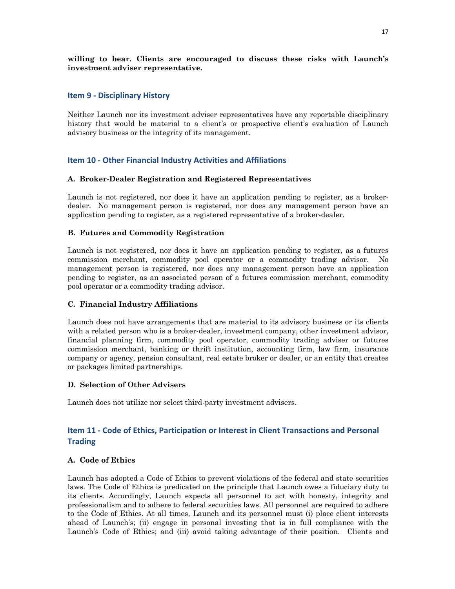## **willing to bear. Clients are encouraged to discuss these risks with Launch's investment adviser representative.**

## **Item 9 - Disciplinary History**

Neither Launch nor its investment adviser representatives have any reportable disciplinary history that would be material to a client's or prospective client's evaluation of Launch advisory business or the integrity of its management.

## **Item 10 - Other Financial Industry Activities and Affiliations**

## **A. Broker-Dealer Registration and Registered Representatives**

Launch is not registered, nor does it have an application pending to register, as a brokerdealer. No management person is registered, nor does any management person have an application pending to register, as a registered representative of a broker-dealer.

## **B. Futures and Commodity Registration**

Launch is not registered, nor does it have an application pending to register, as a futures commission merchant, commodity pool operator or a commodity trading advisor. No management person is registered, nor does any management person have an application pending to register, as an associated person of a futures commission merchant, commodity pool operator or a commodity trading advisor.

## **C. Financial Industry Affiliations**

Launch does not have arrangements that are material to its advisory business or its clients with a related person who is a broker-dealer, investment company, other investment advisor, financial planning firm, commodity pool operator, commodity trading adviser or futures commission merchant, banking or thrift institution, accounting firm, law firm, insurance company or agency, pension consultant, real estate broker or dealer, or an entity that creates or packages limited partnerships.

## **D. Selection of Other Advisers**

Launch does not utilize nor select third-party investment advisers.

## **Item 11 - Code of Ethics, Participation or Interest in Client Transactions and Personal Trading**

## **A. Code of Ethics**

Launch has adopted a Code of Ethics to prevent violations of the federal and state securities laws. The Code of Ethics is predicated on the principle that Launch owes a fiduciary duty to its clients. Accordingly, Launch expects all personnel to act with honesty, integrity and professionalism and to adhere to federal securities laws. All personnel are required to adhere to the Code of Ethics. At all times, Launch and its personnel must (i) place client interests ahead of Launch's; (ii) engage in personal investing that is in full compliance with the Launch's Code of Ethics; and (iii) avoid taking advantage of their position. Clients and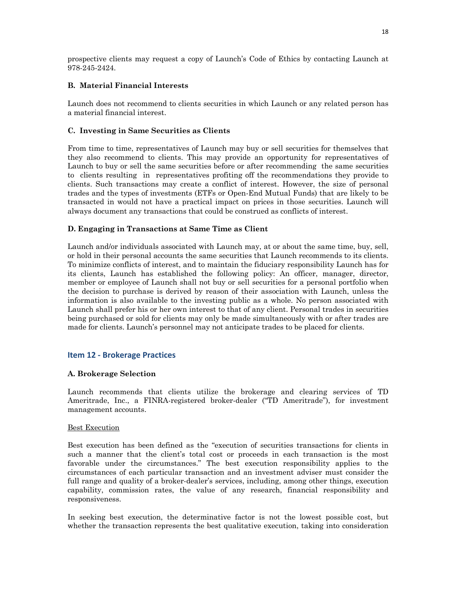prospective clients may request a copy of Launch's Code of Ethics by contacting Launch at 978-245-2424.

## **B. Material Financial Interests**

Launch does not recommend to clients securities in which Launch or any related person has a material financial interest.

## **C. Investing in Same Securities as Clients**

From time to time, representatives of Launch may buy or sell securities for themselves that they also recommend to clients. This may provide an opportunity for representatives of Launch to buy or sell the same securities before or after recommending the same securities to clients resulting in representatives profiting off the recommendations they provide to clients. Such transactions may create a conflict of interest. However, the size of personal trades and the types of investments (ETFs or Open-End Mutual Funds) that are likely to be transacted in would not have a practical impact on prices in those securities. Launch will always document any transactions that could be construed as conflicts of interest.

## **D. Engaging in Transactions at Same Time as Client**

Launch and/or individuals associated with Launch may, at or about the same time, buy, sell, or hold in their personal accounts the same securities that Launch recommends to its clients. To minimize conflicts of interest, and to maintain the fiduciary responsibility Launch has for its clients, Launch has established the following policy: An officer, manager, director, member or employee of Launch shall not buy or sell securities for a personal portfolio when the decision to purchase is derived by reason of their association with Launch, unless the information is also available to the investing public as a whole. No person associated with Launch shall prefer his or her own interest to that of any client. Personal trades in securities being purchased or sold for clients may only be made simultaneously with or after trades are made for clients. Launch's personnel may not anticipate trades to be placed for clients.

## **Item 12 - Brokerage Practices**

## **A. Brokerage Selection**

Launch recommends that clients utilize the brokerage and clearing services of TD Ameritrade, Inc., a FINRA-registered broker-dealer ("TD Ameritrade"), for investment management accounts.

## Best Execution

Best execution has been defined as the "execution of securities transactions for clients in such a manner that the client's total cost or proceeds in each transaction is the most favorable under the circumstances." The best execution responsibility applies to the circumstances of each particular transaction and an investment adviser must consider the full range and quality of a broker-dealer's services, including, among other things, execution capability, commission rates, the value of any research, financial responsibility and responsiveness.

In seeking best execution, the determinative factor is not the lowest possible cost, but whether the transaction represents the best qualitative execution, taking into consideration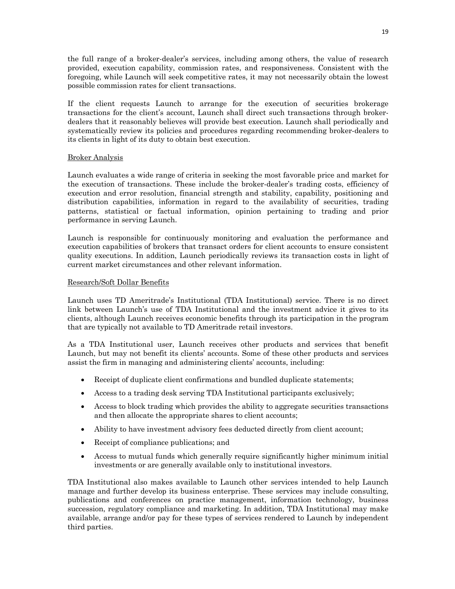the full range of a broker-dealer's services, including among others, the value of research provided, execution capability, commission rates, and responsiveness. Consistent with the foregoing, while Launch will seek competitive rates, it may not necessarily obtain the lowest possible commission rates for client transactions.

If the client requests Launch to arrange for the execution of securities brokerage transactions for the client's account, Launch shall direct such transactions through brokerdealers that it reasonably believes will provide best execution. Launch shall periodically and systematically review its policies and procedures regarding recommending broker-dealers to its clients in light of its duty to obtain best execution.

## Broker Analysis

Launch evaluates a wide range of criteria in seeking the most favorable price and market for the execution of transactions. These include the broker-dealer's trading costs, efficiency of execution and error resolution, financial strength and stability, capability, positioning and distribution capabilities, information in regard to the availability of securities, trading patterns, statistical or factual information, opinion pertaining to trading and prior performance in serving Launch.

Launch is responsible for continuously monitoring and evaluation the performance and execution capabilities of brokers that transact orders for client accounts to ensure consistent quality executions. In addition, Launch periodically reviews its transaction costs in light of current market circumstances and other relevant information.

## Research/Soft Dollar Benefits

Launch uses TD Ameritrade's Institutional (TDA Institutional) service. There is no direct link between Launch's use of TDA Institutional and the investment advice it gives to its clients, although Launch receives economic benefits through its participation in the program that are typically not available to TD Ameritrade retail investors.

As a TDA Institutional user, Launch receives other products and services that benefit Launch, but may not benefit its clients' accounts. Some of these other products and services assist the firm in managing and administering clients' accounts, including:

- Receipt of duplicate client confirmations and bundled duplicate statements;
- Access to a trading desk serving TDA Institutional participants exclusively;
- Access to block trading which provides the ability to aggregate securities transactions and then allocate the appropriate shares to client accounts;
- Ability to have investment advisory fees deducted directly from client account;
- Receipt of compliance publications; and
- Access to mutual funds which generally require significantly higher minimum initial investments or are generally available only to institutional investors.

TDA Institutional also makes available to Launch other services intended to help Launch manage and further develop its business enterprise. These services may include consulting, publications and conferences on practice management, information technology, business succession, regulatory compliance and marketing. In addition, TDA Institutional may make available, arrange and/or pay for these types of services rendered to Launch by independent third parties.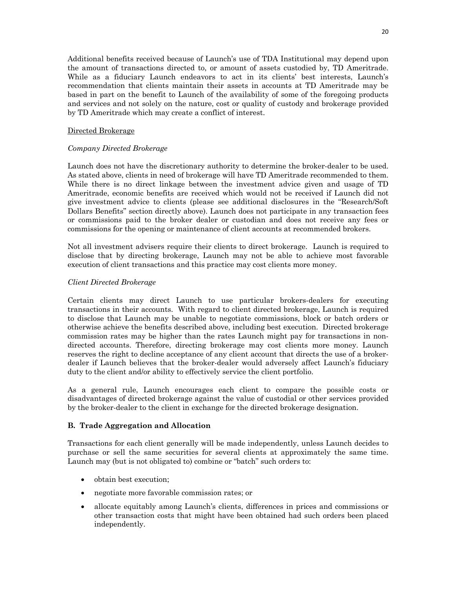Additional benefits received because of Launch's use of TDA Institutional may depend upon the amount of transactions directed to, or amount of assets custodied by, TD Ameritrade. While as a fiduciary Launch endeavors to act in its clients' best interests, Launch's recommendation that clients maintain their assets in accounts at TD Ameritrade may be based in part on the benefit to Launch of the availability of some of the foregoing products and services and not solely on the nature, cost or quality of custody and brokerage provided by TD Ameritrade which may create a conflict of interest.

## Directed Brokerage

## *Company Directed Brokerage*

Launch does not have the discretionary authority to determine the broker-dealer to be used. As stated above, clients in need of brokerage will have TD Ameritrade recommended to them. While there is no direct linkage between the investment advice given and usage of TD Ameritrade, economic benefits are received which would not be received if Launch did not give investment advice to clients (please see additional disclosures in the "Research/Soft Dollars Benefits" section directly above). Launch does not participate in any transaction fees or commissions paid to the broker dealer or custodian and does not receive any fees or commissions for the opening or maintenance of client accounts at recommended brokers.

Not all investment advisers require their clients to direct brokerage. Launch is required to disclose that by directing brokerage, Launch may not be able to achieve most favorable execution of client transactions and this practice may cost clients more money.

## *Client Directed Brokerage*

Certain clients may direct Launch to use particular brokers-dealers for executing transactions in their accounts. With regard to client directed brokerage, Launch is required to disclose that Launch may be unable to negotiate commissions, block or batch orders or otherwise achieve the benefits described above, including best execution. Directed brokerage commission rates may be higher than the rates Launch might pay for transactions in nondirected accounts. Therefore, directing brokerage may cost clients more money. Launch reserves the right to decline acceptance of any client account that directs the use of a brokerdealer if Launch believes that the broker-dealer would adversely affect Launch's fiduciary duty to the client and/or ability to effectively service the client portfolio.

As a general rule, Launch encourages each client to compare the possible costs or disadvantages of directed brokerage against the value of custodial or other services provided by the broker-dealer to the client in exchange for the directed brokerage designation.

## **B. Trade Aggregation and Allocation**

Transactions for each client generally will be made independently, unless Launch decides to purchase or sell the same securities for several clients at approximately the same time. Launch may (but is not obligated to) combine or "batch" such orders to:

- obtain best execution;
- negotiate more favorable commission rates; or
- allocate equitably among Launch's clients, differences in prices and commissions or other transaction costs that might have been obtained had such orders been placed independently.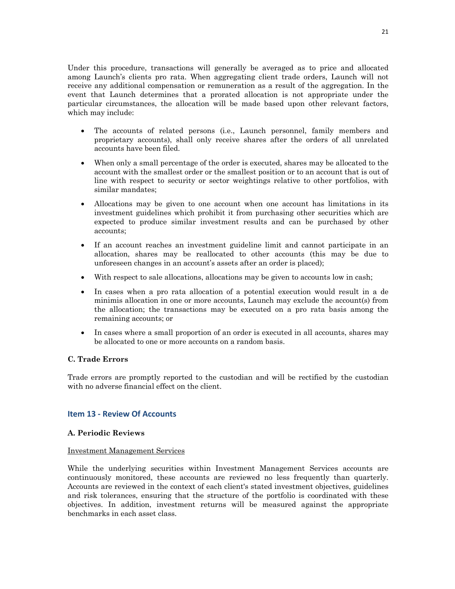Under this procedure, transactions will generally be averaged as to price and allocated among Launch's clients pro rata. When aggregating client trade orders, Launch will not receive any additional compensation or remuneration as a result of the aggregation. In the event that Launch determines that a prorated allocation is not appropriate under the particular circumstances, the allocation will be made based upon other relevant factors, which may include:

- The accounts of related persons (i.e., Launch personnel, family members and proprietary accounts), shall only receive shares after the orders of all unrelated accounts have been filed.
- When only a small percentage of the order is executed, shares may be allocated to the account with the smallest order or the smallest position or to an account that is out of line with respect to security or sector weightings relative to other portfolios, with similar mandates;
- Allocations may be given to one account when one account has limitations in its investment guidelines which prohibit it from purchasing other securities which are expected to produce similar investment results and can be purchased by other accounts;
- If an account reaches an investment guideline limit and cannot participate in an allocation, shares may be reallocated to other accounts (this may be due to unforeseen changes in an account's assets after an order is placed);
- With respect to sale allocations, allocations may be given to accounts low in cash;
- In cases when a pro rata allocation of a potential execution would result in a de minimis allocation in one or more accounts, Launch may exclude the account(s) from the allocation; the transactions may be executed on a pro rata basis among the remaining accounts; or
- In cases where a small proportion of an order is executed in all accounts, shares may be allocated to one or more accounts on a random basis.

## **C. Trade Errors**

Trade errors are promptly reported to the custodian and will be rectified by the custodian with no adverse financial effect on the client.

## **Item 13 - Review Of Accounts**

## **A. Periodic Reviews**

## Investment Management Services

While the underlying securities within Investment Management Services accounts are continuously monitored, these accounts are reviewed no less frequently than quarterly. Accounts are reviewed in the context of each client's stated investment objectives, guidelines and risk tolerances, ensuring that the structure of the portfolio is coordinated with these objectives. In addition, investment returns will be measured against the appropriate benchmarks in each asset class.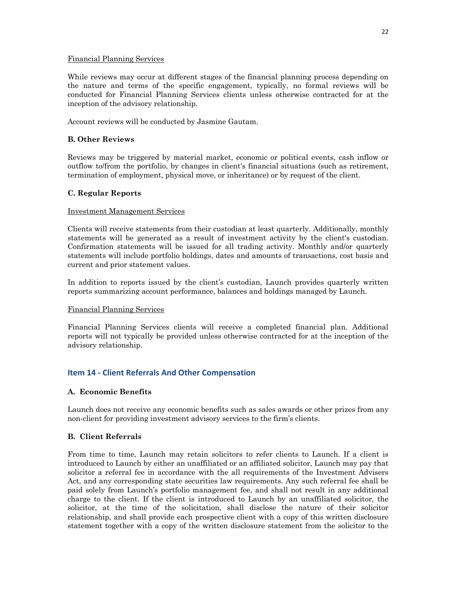## Financial Planning Services

While reviews may occur at different stages of the financial planning process depending on the nature and terms of the specific engagement, typically, no formal reviews will be conducted for Financial Planning Services clients unless otherwise contracted for at the inception of the advisory relationship.

Account reviews will be conducted by Jasmine Gautam.

## **B. Other Reviews**

Reviews may be triggered by material market, economic or political events, cash inflow or outflow to/from the portfolio, by changes in client's financial situations (such as retirement, termination of employment, physical move, or inheritance) or by request of the client.

## **C. Regular Reports**

## Investment Management Services

Clients will receive statements from their custodian at least quarterly. Additionally, monthly statements will be generated as a result of investment activity by the client's custodian. Confirmation statements will be issued for all trading activity. Monthly and/or quarterly statements will include portfolio holdings, dates and amounts of transactions, cost basis and current and prior statement values.

In addition to reports issued by the client's custodian, Launch provides quarterly written reports summarizing account performance, balances and holdings managed by Launch.

## Financial Planning Services

Financial Planning Services clients will receive a completed financial plan. Additional reports will not typically be provided unless otherwise contracted for at the inception of the advisory relationship.

## **Item 14 - Client Referrals And Other Compensation**

## **A. Economic Benefits**

Launch does not receive any economic benefits such as sales awards or other prizes from any non-client for providing investment advisory services to the firm's clients.

## **B. Client Referrals**

From time to time, Launch may retain solicitors to refer clients to Launch. If a client is introduced to Launch by either an unaffiliated or an affiliated solicitor, Launch may pay that solicitor a referral fee in accordance with the all requirements of the Investment Advisers Act, and any corresponding state securities law requirements. Any such referral fee shall be paid solely from Launch's portfolio management fee, and shall not result in any additional charge to the client. If the client is introduced to Launch by an unaffiliated solicitor, the solicitor, at the time of the solicitation, shall disclose the nature of their solicitor relationship, and shall provide each prospective client with a copy of this written disclosure statement together with a copy of the written disclosure statement from the solicitor to the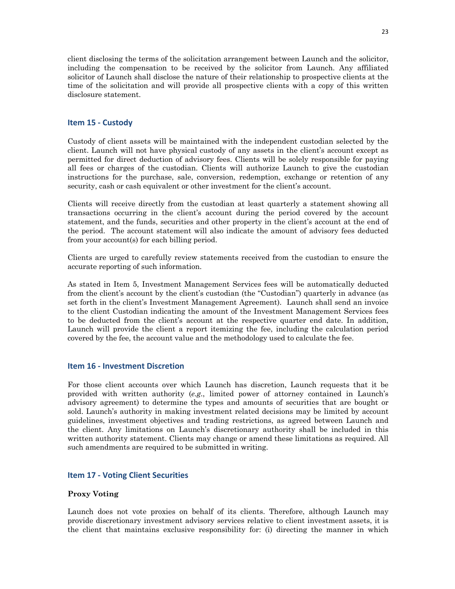client disclosing the terms of the solicitation arrangement between Launch and the solicitor, including the compensation to be received by the solicitor from Launch. Any affiliated solicitor of Launch shall disclose the nature of their relationship to prospective clients at the time of the solicitation and will provide all prospective clients with a copy of this written disclosure statement.

## **Item 15 - Custody**

Custody of client assets will be maintained with the independent custodian selected by the client. Launch will not have physical custody of any assets in the client's account except as permitted for direct deduction of advisory fees. Clients will be solely responsible for paying all fees or charges of the custodian. Clients will authorize Launch to give the custodian instructions for the purchase, sale, conversion, redemption, exchange or retention of any security, cash or cash equivalent or other investment for the client's account.

Clients will receive directly from the custodian at least quarterly a statement showing all transactions occurring in the client's account during the period covered by the account statement, and the funds, securities and other property in the client's account at the end of the period. The account statement will also indicate the amount of advisory fees deducted from your account(s) for each billing period.

Clients are urged to carefully review statements received from the custodian to ensure the accurate reporting of such information.

As stated in Item 5, Investment Management Services fees will be automatically deducted from the client's account by the client's custodian (the "Custodian") quarterly in advance (as set forth in the client's Investment Management Agreement). Launch shall send an invoice to the client Custodian indicating the amount of the Investment Management Services fees to be deducted from the client's account at the respective quarter end date. In addition, Launch will provide the client a report itemizing the fee, including the calculation period covered by the fee, the account value and the methodology used to calculate the fee.

## **Item 16 - Investment Discretion**

For those client accounts over which Launch has discretion, Launch requests that it be provided with written authority (*e.g*., limited power of attorney contained in Launch's advisory agreement) to determine the types and amounts of securities that are bought or sold. Launch's authority in making investment related decisions may be limited by account guidelines, investment objectives and trading restrictions, as agreed between Launch and the client. Any limitations on Launch's discretionary authority shall be included in this written authority statement. Clients may change or amend these limitations as required. All such amendments are required to be submitted in writing.

## **Item 17 - Voting Client Securities**

## **Proxy Voting**

Launch does not vote proxies on behalf of its clients. Therefore, although Launch may provide discretionary investment advisory services relative to client investment assets, it is the client that maintains exclusive responsibility for: (i) directing the manner in which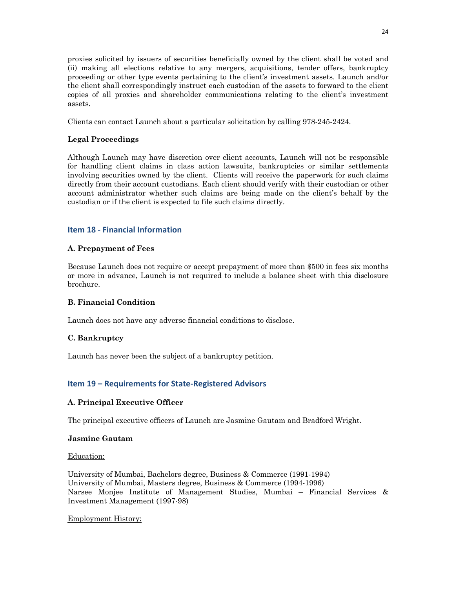proxies solicited by issuers of securities beneficially owned by the client shall be voted and (ii) making all elections relative to any mergers, acquisitions, tender offers, bankruptcy proceeding or other type events pertaining to the client's investment assets. Launch and/or the client shall correspondingly instruct each custodian of the assets to forward to the client copies of all proxies and shareholder communications relating to the client's investment assets.

Clients can contact Launch about a particular solicitation by calling 978-245-2424.

## **Legal Proceedings**

Although Launch may have discretion over client accounts, Launch will not be responsible for handling client claims in class action lawsuits, bankruptcies or similar settlements involving securities owned by the client. Clients will receive the paperwork for such claims directly from their account custodians. Each client should verify with their custodian or other account administrator whether such claims are being made on the client's behalf by the custodian or if the client is expected to file such claims directly.

## **Item 18 - Financial Information**

## **A. Prepayment of Fees**

Because Launch does not require or accept prepayment of more than \$500 in fees six months or more in advance, Launch is not required to include a balance sheet with this disclosure brochure.

## **B. Financial Condition**

Launch does not have any adverse financial conditions to disclose.

## **C. Bankruptcy**

Launch has never been the subject of a bankruptcy petition.

## **Item 19 – Requirements for State-Registered Advisors**

## **A. Principal Executive Officer**

The principal executive officers of Launch are Jasmine Gautam and Bradford Wright.

## **Jasmine Gautam**

Education:

University of Mumbai, Bachelors degree, Business & Commerce (1991-1994) University of Mumbai, Masters degree, Business & Commerce (1994-1996) Narsee Monjee Institute of Management Studies, Mumbai – Financial Services & Investment Management (1997-98)

## Employment History: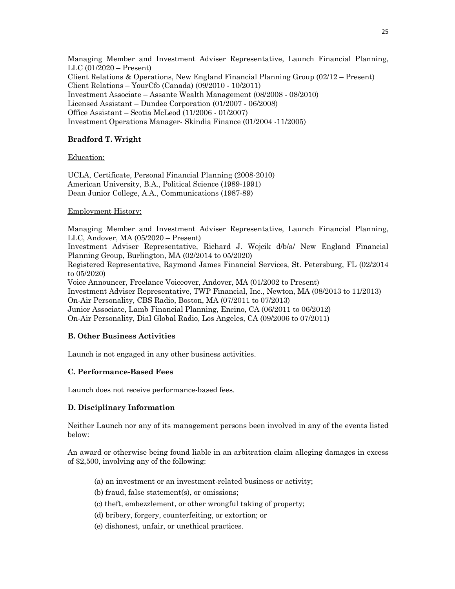Managing Member and Investment Adviser Representative, Launch Financial Planning, LLC (01/2020 – Present) Client Relations & Operations, New England Financial Planning Group (02/12 – Present) Client Relations – YourCfo (Canada) (09/2010 - 10/2011) Investment Associate – Assante Wealth Management (08/2008 - 08/2010) Licensed Assistant – Dundee Corporation (01/2007 - 06/2008) Office Assistant – Scotia McLeod (11/2006 - 01/2007) Investment Operations Manager- Skindia Finance (01/2004 -11/2005)

## **Bradford T. Wright**

#### Education:

UCLA, Certificate, Personal Financial Planning (2008-2010) American University, B.A., Political Science (1989-1991) Dean Junior College, A.A., Communications (1987-89)

#### Employment History:

Managing Member and Investment Adviser Representative, Launch Financial Planning, LLC, Andover, MA (05/2020 – Present) Investment Adviser Representative, Richard J. Wojcik d/b/a/ New England Financial Planning Group, Burlington, MA (02/2014 to 05/2020) Registered Representative, Raymond James Financial Services, St. Petersburg, FL (02/2014 to 05/2020) Voice Announcer, Freelance Voiceover, Andover, MA (01/2002 to Present) Investment Adviser Representative, TWP Financial, Inc., Newton, MA (08/2013 to 11/2013) On-Air Personality, CBS Radio, Boston, MA (07/2011 to 07/2013) Junior Associate, Lamb Financial Planning, Encino, CA (06/2011 to 06/2012) On-Air Personality, Dial Global Radio, Los Angeles, CA (09/2006 to 07/2011)

## **B. Other Business Activities**

Launch is not engaged in any other business activities.

## **C. Performance-Based Fees**

Launch does not receive performance-based fees.

## **D. Disciplinary Information**

Neither Launch nor any of its management persons been involved in any of the events listed below:

An award or otherwise being found liable in an arbitration claim alleging damages in excess of \$2,500, involving any of the following:

- (a) an investment or an investment-related business or activity;
- (b) fraud, false statement(s), or omissions;
- (c) theft, embezzlement, or other wrongful taking of property;
- (d) bribery, forgery, counterfeiting, or extortion; or
- (e) dishonest, unfair, or unethical practices.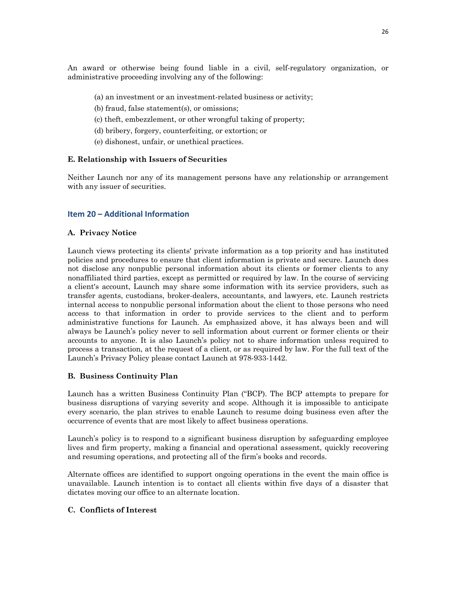An award or otherwise being found liable in a civil, self-regulatory organization, or administrative proceeding involving any of the following:

- (a) an investment or an investment-related business or activity;
- (b) fraud, false statement(s), or omissions;
- (c) theft, embezzlement, or other wrongful taking of property;
- (d) bribery, forgery, counterfeiting, or extortion; or
- (e) dishonest, unfair, or unethical practices.

## **E. Relationship with Issuers of Securities**

Neither Launch nor any of its management persons have any relationship or arrangement with any issuer of securities.

## **Item 20 – Additional Information**

## **A. Privacy Notice**

Launch views protecting its clients' private information as a top priority and has instituted policies and procedures to ensure that client information is private and secure. Launch does not disclose any nonpublic personal information about its clients or former clients to any nonaffiliated third parties, except as permitted or required by law. In the course of servicing a client's account, Launch may share some information with its service providers, such as transfer agents, custodians, broker-dealers, accountants, and lawyers, etc. Launch restricts internal access to nonpublic personal information about the client to those persons who need access to that information in order to provide services to the client and to perform administrative functions for Launch. As emphasized above, it has always been and will always be Launch's policy never to sell information about current or former clients or their accounts to anyone. It is also Launch's policy not to share information unless required to process a transaction, at the request of a client, or as required by law. For the full text of the Launch's Privacy Policy please contact Launch at 978-933-1442.

## **B. Business Continuity Plan**

Launch has a written Business Continuity Plan ("BCP). The BCP attempts to prepare for business disruptions of varying severity and scope. Although it is impossible to anticipate every scenario, the plan strives to enable Launch to resume doing business even after the occurrence of events that are most likely to affect business operations.

Launch's policy is to respond to a significant business disruption by safeguarding employee lives and firm property, making a financial and operational assessment, quickly recovering and resuming operations, and protecting all of the firm's books and records.

Alternate offices are identified to support ongoing operations in the event the main office is unavailable. Launch intention is to contact all clients within five days of a disaster that dictates moving our office to an alternate location.

## **C. Conflicts of Interest**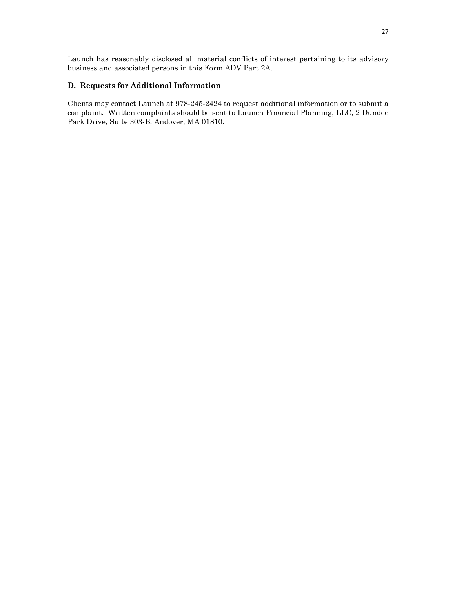Launch has reasonably disclosed all material conflicts of interest pertaining to its advisory business and associated persons in this Form ADV Part 2A.

## **D. Requests for Additional Information**

Clients may contact Launch at 978-245-2424 to request additional information or to submit a complaint. Written complaints should be sent to Launch Financial Planning, LLC, 2 Dundee Park Drive, Suite 303-B, Andover, MA 01810.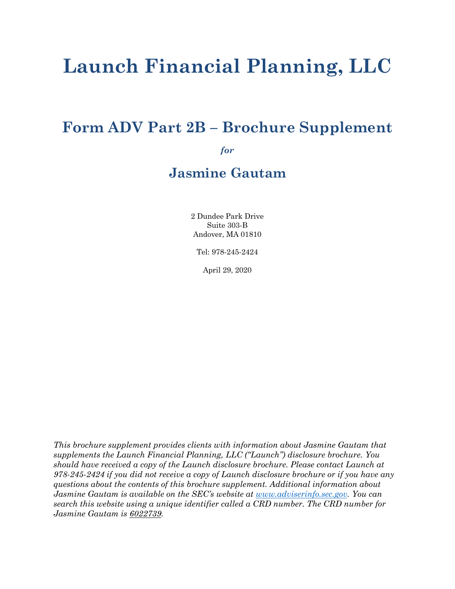# **Launch Financial Planning, LLC**

## **Form ADV Part 2B – Brochure Supplement**

*for*

## **Jasmine Gautam**

2 Dundee Park Drive Suite 303-B Andover, MA 01810

Tel: 978-245-2424

April 29, 2020

*This brochure supplement provides clients with information about Jasmine Gautam that supplements the Launch Financial Planning, LLC ("Launch") disclosure brochure. You should have received a copy of the Launch disclosure brochure. Please contact Launch at 978-245-2424 if you did not receive a copy of Launch disclosure brochure or if you have any questions about the contents of this brochure supplement. Additional information about Jasmine Gautam is available on the SEC's website at www.adviserinfo.sec.gov. You can search this website using a unique identifier called a CRD number. The CRD number for Jasmine Gautam is 6022739.*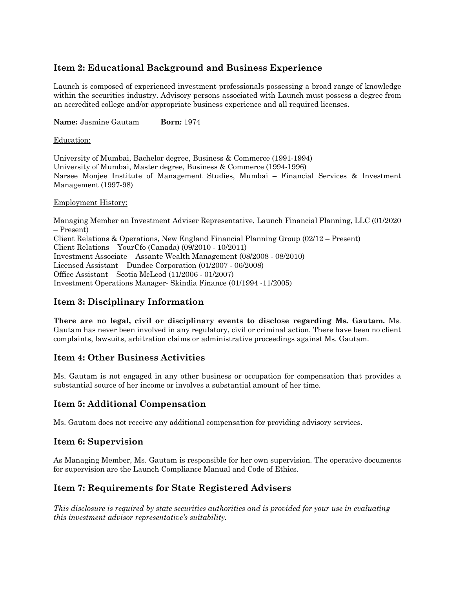## **Item 2: Educational Background and Business Experience**

Launch is composed of experienced investment professionals possessing a broad range of knowledge within the securities industry. Advisory persons associated with Launch must possess a degree from an accredited college and/or appropriate business experience and all required licenses.

**Name:** Jasmine Gautam **Born:** 1974

## Education:

University of Mumbai, Bachelor degree, Business & Commerce (1991-1994) University of Mumbai, Master degree, Business & Commerce (1994-1996) Narsee Monjee Institute of Management Studies, Mumbai – Financial Services & Investment Management (1997-98)

## Employment History:

Managing Member an Investment Adviser Representative, Launch Financial Planning, LLC (01/2020 – Present) Client Relations & Operations, New England Financial Planning Group (02/12 – Present) Client Relations – YourCfo (Canada) (09/2010 - 10/2011) Investment Associate – Assante Wealth Management (08/2008 - 08/2010) Licensed Assistant – Dundee Corporation (01/2007 - 06/2008) Office Assistant – Scotia McLeod (11/2006 - 01/2007) Investment Operations Manager- Skindia Finance (01/1994 -11/2005)

## **Item 3: Disciplinary Information**

**There are no legal, civil or disciplinary events to disclose regarding Ms. Gautam.** Ms. Gautam has never been involved in any regulatory, civil or criminal action. There have been no client complaints, lawsuits, arbitration claims or administrative proceedings against Ms. Gautam.

## **Item 4: Other Business Activities**

Ms. Gautam is not engaged in any other business or occupation for compensation that provides a substantial source of her income or involves a substantial amount of her time.

## **Item 5: Additional Compensation**

Ms. Gautam does not receive any additional compensation for providing advisory services.

## **Item 6: Supervision**

As Managing Member, Ms. Gautam is responsible for her own supervision. The operative documents for supervision are the Launch Compliance Manual and Code of Ethics.

## **Item 7: Requirements for State Registered Advisers**

*This disclosure is required by state securities authorities and is provided for your use in evaluating this investment advisor representative's suitability.*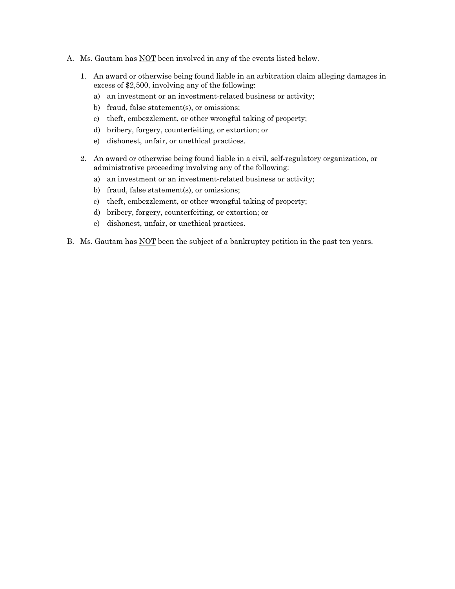- A. Ms. Gautam has **NOT** been involved in any of the events listed below.
	- 1. An award or otherwise being found liable in an arbitration claim alleging damages in excess of \$2,500, involving any of the following:
		- a) an investment or an investment-related business or activity;
		- b) fraud, false statement(s), or omissions;
		- c) theft, embezzlement, or other wrongful taking of property;
		- d) bribery, forgery, counterfeiting, or extortion; or
		- e) dishonest, unfair, or unethical practices.
	- 2. An award or otherwise being found liable in a civil, self-regulatory organization, or administrative proceeding involving any of the following:
		- a) an investment or an investment-related business or activity;
		- b) fraud, false statement(s), or omissions;
		- c) theft, embezzlement, or other wrongful taking of property;
		- d) bribery, forgery, counterfeiting, or extortion; or
		- e) dishonest, unfair, or unethical practices.
- B. Ms. Gautam has NOT been the subject of a bankruptcy petition in the past ten years.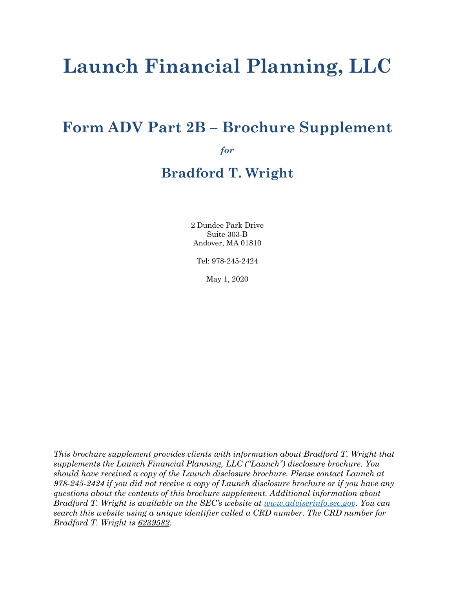# **Launch Financial Planning, LLC**

## **Form ADV Part 2B – Brochure Supplement**

*for*

## **Bradford T. Wright**

2 Dundee Park Drive Suite 303-B Andover, MA 01810

Tel: 978-245-2424

May 1, 2020

*This brochure supplement provides clients with information about Bradford T. Wright that supplements the Launch Financial Planning, LLC ("Launch") disclosure brochure. You should have received a copy of the Launch disclosure brochure. Please contact Launch at 978-245-2424 if you did not receive a copy of Launch disclosure brochure or if you have any questions about the contents of this brochure supplement. Additional information about Bradford T. Wright is available on the SEC's website at www.adviserinfo.sec.gov. You can search this website using a unique identifier called a CRD number. The CRD number for Bradford T. Wright is 6239582.*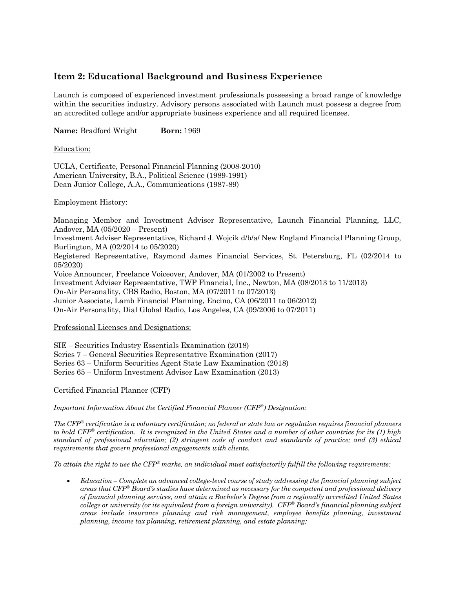## **Item 2: Educational Background and Business Experience**

Launch is composed of experienced investment professionals possessing a broad range of knowledge within the securities industry. Advisory persons associated with Launch must possess a degree from an accredited college and/or appropriate business experience and all required licenses.

**Name:** Bradford Wright **Born:** 1969

## Education:

UCLA, Certificate, Personal Financial Planning (2008-2010) American University, B.A., Political Science (1989-1991) Dean Junior College, A.A., Communications (1987-89)

## Employment History:

Managing Member and Investment Adviser Representative, Launch Financial Planning, LLC, Andover, MA (05/2020 – Present) Investment Adviser Representative, Richard J. Wojcik d/b/a/ New England Financial Planning Group, Burlington, MA (02/2014 to 05/2020) Registered Representative, Raymond James Financial Services, St. Petersburg, FL (02/2014 to 05/2020) Voice Announcer, Freelance Voiceover, Andover, MA (01/2002 to Present) Investment Adviser Representative, TWP Financial, Inc., Newton, MA (08/2013 to 11/2013) On-Air Personality, CBS Radio, Boston, MA (07/2011 to 07/2013) Junior Associate, Lamb Financial Planning, Encino, CA (06/2011 to 06/2012) On-Air Personality, Dial Global Radio, Los Angeles, CA (09/2006 to 07/2011)

## Professional Licenses and Designations:

SIE – Securities Industry Essentials Examination (2018) Series 7 – General Securities Representative Examination (2017) Series 63 – Uniform Securities Agent State Law Examination (2018) Series 65 – Uniform Investment Adviser Law Examination (2013)

Certified Financial Planner (CFP)

*Important Information About the Certified Financial Planner (CFP*<sup>â</sup>*) Designation:*

*The CFP*<sup>â</sup> *certification is a voluntary certification; no federal or state law or regulation requires financial planners to hold CFP*<sup>â</sup> *certification. It is recognized in the United States and a number of other countries for its (1) high standard of professional education; (2) stringent code of conduct and standards of practice; and (3) ethical requirements that govern professional engagements with clients.* 

*To attain the right to use the CFP*<sup>â</sup> *marks, an individual must satisfactorily fulfill the following requirements:*

• *Education – Complete an advanced college-level course of study addressing the financial planning subject areas that CFP*<sup>â</sup> *Board's studies have determined as necessary for the competent and professional delivery of financial planning services, and attain a Bachelor's Degree from a regionally accredited United States college or university (or its equivalent from a foreign university). CFP*<sup>â</sup> *Board's financial planning subject areas include insurance planning and risk management, employee benefits planning, investment planning, income tax planning, retirement planning, and estate planning;*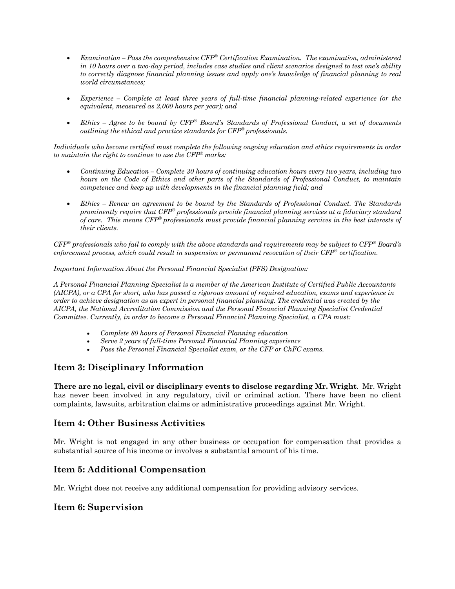- *Examination – Pass the comprehensive CFP*<sup>â</sup> *Certification Examination. The examination, administered in 10 hours over a two-day period, includes case studies and client scenarios designed to test one's ability to correctly diagnose financial planning issues and apply one's knowledge of financial planning to real world circumstances;*
- *Experience – Complete at least three years of full-time financial planning-related experience (or the equivalent, measured as 2,000 hours per year); and*
- *Ethics – Agree to be bound by CFP*<sup>â</sup> *Board's Standards of Professional Conduct, a set of documents outlining the ethical and practice standards for CFP*<sup>â</sup> *professionals.*

*Individuals who become certified must complete the following ongoing education and ethics requirements in order to maintain the right to continue to use the CFP*<sup>â</sup> *marks:* 

- *Continuing Education – Complete 30 hours of continuing education hours every two years, including two hours on the Code of Ethics and other parts of the Standards of Professional Conduct, to maintain competence and keep up with developments in the financial planning field; and*
- *Ethics – Renew an agreement to be bound by the Standards of Professional Conduct. The Standards prominently require that CFP*<sup>â</sup> *professionals provide financial planning services at a fiduciary standard of care. This means CFP*<sup>â</sup> *professionals must provide financial planning services in the best interests of their clients.*

*CFP*<sup>â</sup> *professionals who fail to comply with the above standards and requirements may be subject to CFP*<sup>â</sup> *Board's enforcement process, which could result in suspension or permanent revocation of their CFP*<sup>â</sup> *certification.*

*Important Information About the Personal Financial Specialist (PFS) Designation:*

*A Personal Financial Planning Specialist is a member of the American Institute of Certified Public Accountants (AICPA), or a CPA for short, who has passed a rigorous amount of required education, exams and experience in order to achieve designation as an expert in personal financial planning. The credential was created by the AICPA, the National Accreditation Commission and the Personal Financial Planning Specialist Credential Committee. Currently, in order to become a Personal Financial Planning Specialist, a CPA must:*

- *Complete 80 hours of Personal Financial Planning education*
- *Serve 2 years of full-time Personal Financial Planning experience*
- *Pass the Personal Financial Specialist exam, or the CFP or ChFC exams.*

## **Item 3: Disciplinary Information**

**There are no legal, civil or disciplinary events to disclose regarding Mr. Wright**. Mr. Wright has never been involved in any regulatory, civil or criminal action. There have been no client complaints, lawsuits, arbitration claims or administrative proceedings against Mr. Wright.

## **Item 4: Other Business Activities**

Mr. Wright is not engaged in any other business or occupation for compensation that provides a substantial source of his income or involves a substantial amount of his time.

## **Item 5: Additional Compensation**

Mr. Wright does not receive any additional compensation for providing advisory services.

## **Item 6: Supervision**